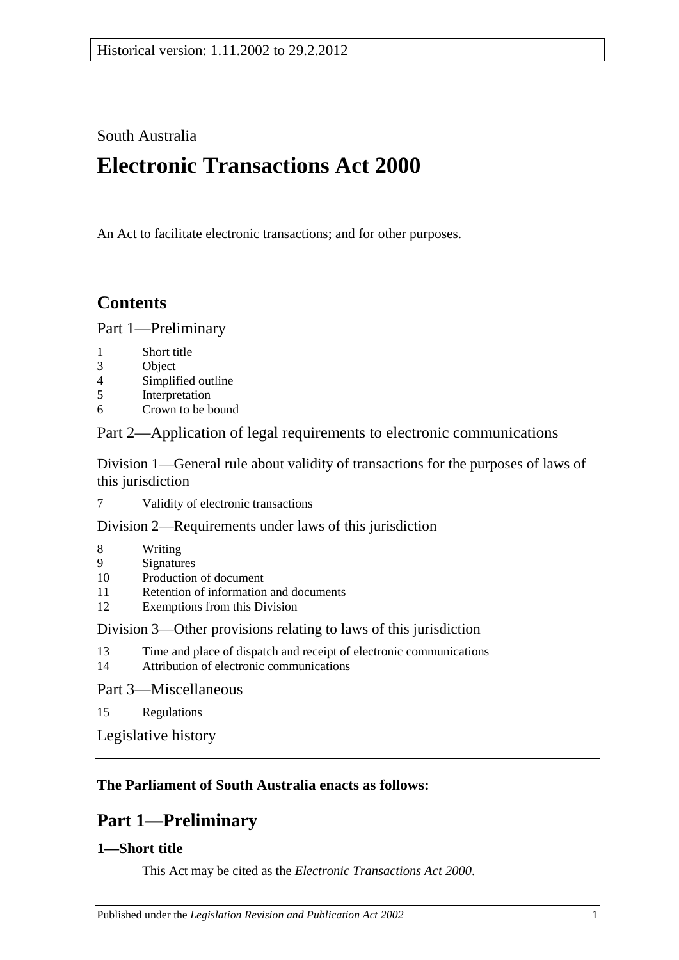South Australia

# **Electronic Transactions Act 2000**

An Act to facilitate electronic transactions; and for other purposes.

## **Contents**

[Part 1—Preliminary](#page-0-0)

- 1 [Short title](#page-0-1)
- 3 [Object](#page-1-0)<br>4 Simpli
- 4 [Simplified outline](#page-1-1)<br>5 Interpretation
- **[Interpretation](#page-1-2)**
- 6 [Crown to be bound](#page-2-0)

[Part 2—Application of legal requirements to electronic communications](#page-2-1)

[Division 1—General rule about validity of transactions for the purposes of laws of](#page-2-2)  [this jurisdiction](#page-2-2)

7 [Validity of electronic transactions](#page-2-3)

[Division 2—Requirements under laws of this jurisdiction](#page-3-0)

- 8 [Writing](#page-3-1)
- 9 [Signatures](#page-4-0)
- 10 [Production of document](#page-4-1)
- 11 [Retention of information and documents](#page-5-0)<br>12 Exemptions from this Division
- [Exemptions from this Division](#page-7-0)

[Division 3—Other provisions relating to laws of this jurisdiction](#page-7-1)

- 13 [Time and place of dispatch and receipt of electronic communications](#page-7-2)<br>14 Attribution of electronic communications
- [Attribution of electronic communications](#page-8-0)

[Part 3—Miscellaneous](#page-9-0)

15 [Regulations](#page-9-1)

[Legislative history](#page-10-0)

## <span id="page-0-0"></span>**The Parliament of South Australia enacts as follows:**

## **Part 1—Preliminary**

## <span id="page-0-1"></span>**1—Short title**

This Act may be cited as the *Electronic Transactions Act 2000*.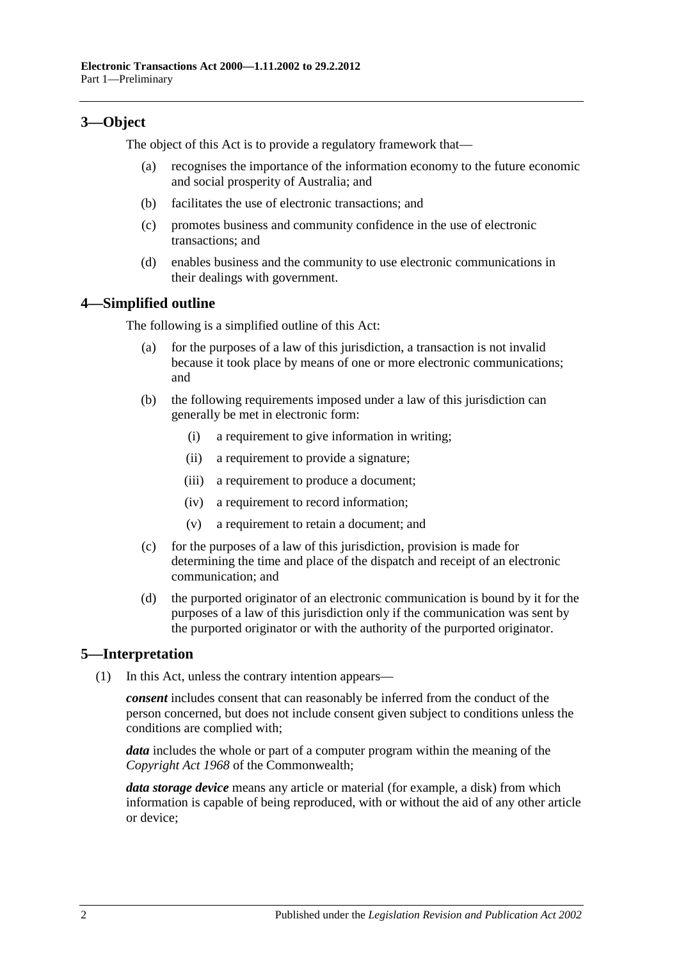## <span id="page-1-0"></span>**3—Object**

The object of this Act is to provide a regulatory framework that—

- (a) recognises the importance of the information economy to the future economic and social prosperity of Australia; and
- (b) facilitates the use of electronic transactions; and
- (c) promotes business and community confidence in the use of electronic transactions; and
- (d) enables business and the community to use electronic communications in their dealings with government.

## <span id="page-1-1"></span>**4—Simplified outline**

The following is a simplified outline of this Act:

- for the purposes of a law of this jurisdiction, a transaction is not invalid because it took place by means of one or more electronic communications; and
- (b) the following requirements imposed under a law of this jurisdiction can generally be met in electronic form:
	- (i) a requirement to give information in writing;
	- (ii) a requirement to provide a signature;
	- (iii) a requirement to produce a document;
	- (iv) a requirement to record information;
	- (v) a requirement to retain a document; and
- (c) for the purposes of a law of this jurisdiction, provision is made for determining the time and place of the dispatch and receipt of an electronic communication; and
- (d) the purported originator of an electronic communication is bound by it for the purposes of a law of this jurisdiction only if the communication was sent by the purported originator or with the authority of the purported originator.

## <span id="page-1-2"></span>**5—Interpretation**

(1) In this Act, unless the contrary intention appears—

*consent* includes consent that can reasonably be inferred from the conduct of the person concerned, but does not include consent given subject to conditions unless the conditions are complied with;

*data* includes the whole or part of a computer program within the meaning of the *Copyright Act 1968* of the Commonwealth;

*data storage device* means any article or material (for example, a disk) from which information is capable of being reproduced, with or without the aid of any other article or device;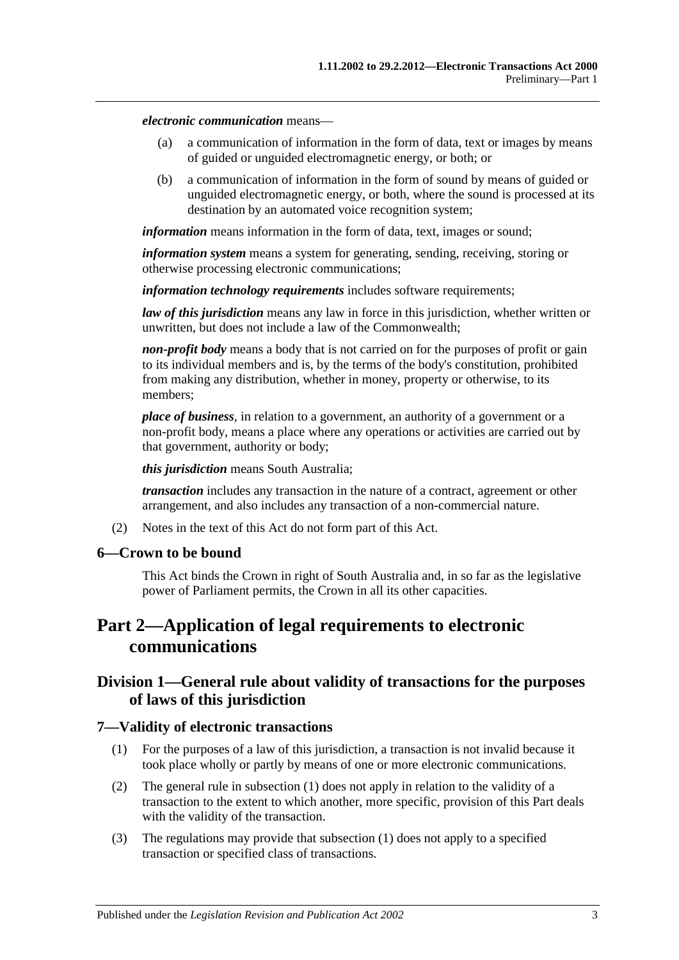*electronic communication* means—

- (a) a communication of information in the form of data, text or images by means of guided or unguided electromagnetic energy, or both; or
- (b) a communication of information in the form of sound by means of guided or unguided electromagnetic energy, or both, where the sound is processed at its destination by an automated voice recognition system;

*information* means information in the form of data, text, images or sound;

*information system* means a system for generating, sending, receiving, storing or otherwise processing electronic communications;

*information technology requirements* includes software requirements;

*law of this jurisdiction* means any law in force in this jurisdiction, whether written or unwritten, but does not include a law of the Commonwealth;

*non-profit body* means a body that is not carried on for the purposes of profit or gain to its individual members and is, by the terms of the body's constitution, prohibited from making any distribution, whether in money, property or otherwise, to its members;

*place of business*, in relation to a government, an authority of a government or a non-profit body, means a place where any operations or activities are carried out by that government, authority or body;

*this jurisdiction* means South Australia;

*transaction* includes any transaction in the nature of a contract, agreement or other arrangement, and also includes any transaction of a non-commercial nature.

(2) Notes in the text of this Act do not form part of this Act.

#### <span id="page-2-0"></span>**6—Crown to be bound**

This Act binds the Crown in right of South Australia and, in so far as the legislative power of Parliament permits, the Crown in all its other capacities.

## <span id="page-2-1"></span>**Part 2—Application of legal requirements to electronic communications**

## <span id="page-2-2"></span>**Division 1—General rule about validity of transactions for the purposes of laws of this jurisdiction**

#### <span id="page-2-4"></span><span id="page-2-3"></span>**7—Validity of electronic transactions**

- (1) For the purposes of a law of this jurisdiction, a transaction is not invalid because it took place wholly or partly by means of one or more electronic communications.
- (2) The general rule in [subsection](#page-2-4) (1) does not apply in relation to the validity of a transaction to the extent to which another, more specific, provision of this Part deals with the validity of the transaction.
- (3) The regulations may provide that [subsection](#page-2-4) (1) does not apply to a specified transaction or specified class of transactions.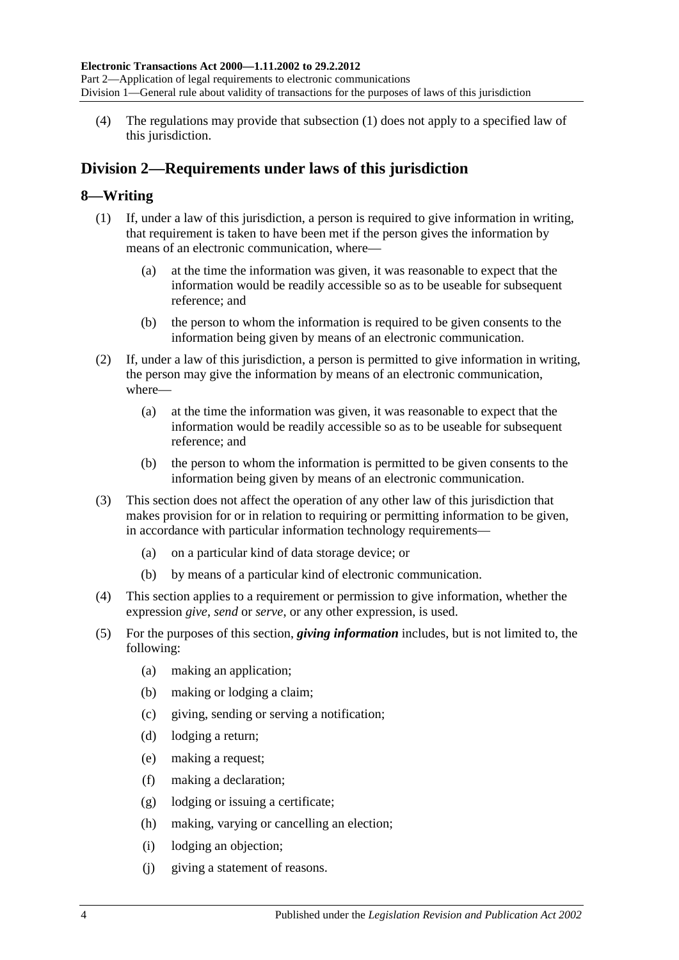(4) The regulations may provide that [subsection](#page-2-4) (1) does not apply to a specified law of this jurisdiction.

## <span id="page-3-0"></span>**Division 2—Requirements under laws of this jurisdiction**

### <span id="page-3-1"></span>**8—Writing**

- (1) If, under a law of this jurisdiction, a person is required to give information in writing, that requirement is taken to have been met if the person gives the information by means of an electronic communication, where—
	- (a) at the time the information was given, it was reasonable to expect that the information would be readily accessible so as to be useable for subsequent reference; and
	- (b) the person to whom the information is required to be given consents to the information being given by means of an electronic communication.
- (2) If, under a law of this jurisdiction, a person is permitted to give information in writing, the person may give the information by means of an electronic communication, where—
	- (a) at the time the information was given, it was reasonable to expect that the information would be readily accessible so as to be useable for subsequent reference; and
	- (b) the person to whom the information is permitted to be given consents to the information being given by means of an electronic communication.
- (3) This section does not affect the operation of any other law of this jurisdiction that makes provision for or in relation to requiring or permitting information to be given, in accordance with particular information technology requirements—
	- (a) on a particular kind of data storage device; or
	- (b) by means of a particular kind of electronic communication.
- (4) This section applies to a requirement or permission to give information, whether the expression *give*, *send* or *serve*, or any other expression, is used.
- (5) For the purposes of this section, *giving information* includes, but is not limited to, the following:
	- (a) making an application;
	- (b) making or lodging a claim;
	- (c) giving, sending or serving a notification;
	- (d) lodging a return;
	- (e) making a request;
	- (f) making a declaration;
	- (g) lodging or issuing a certificate;
	- (h) making, varying or cancelling an election;
	- (i) lodging an objection;
	- (j) giving a statement of reasons.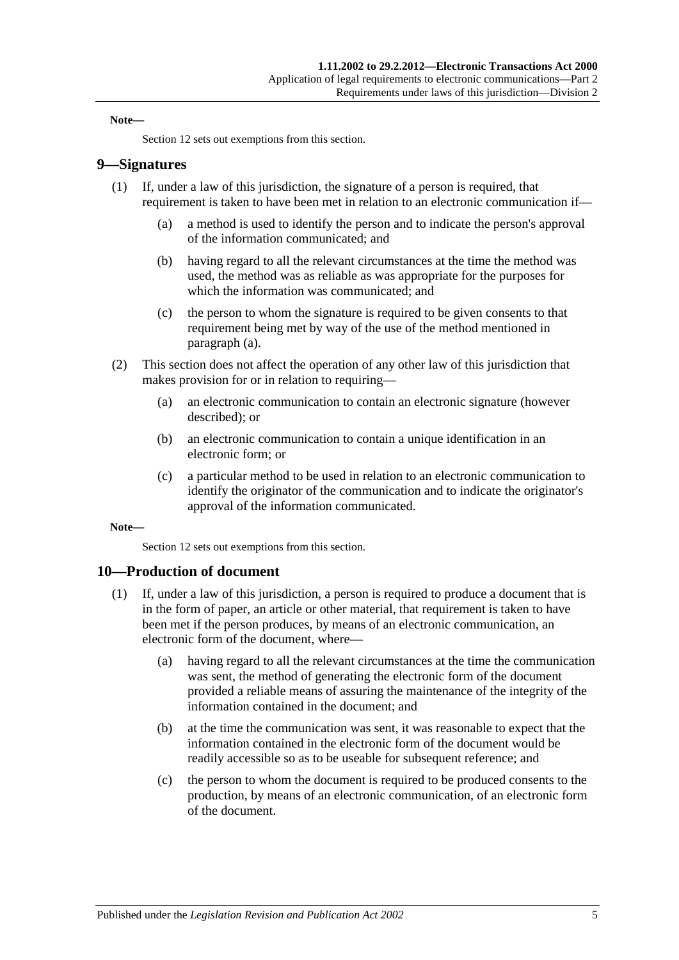#### **Note—**

[Section](#page-7-0) 12 sets out exemptions from this section.

#### <span id="page-4-0"></span>**9—Signatures**

- <span id="page-4-2"></span>(1) If, under a law of this jurisdiction, the signature of a person is required, that requirement is taken to have been met in relation to an electronic communication if—
	- (a) a method is used to identify the person and to indicate the person's approval of the information communicated; and
	- (b) having regard to all the relevant circumstances at the time the method was used, the method was as reliable as was appropriate for the purposes for which the information was communicated; and
	- (c) the person to whom the signature is required to be given consents to that requirement being met by way of the use of the method mentioned in [paragraph](#page-4-2) (a).
- (2) This section does not affect the operation of any other law of this jurisdiction that makes provision for or in relation to requiring—
	- (a) an electronic communication to contain an electronic signature (however described); or
	- (b) an electronic communication to contain a unique identification in an electronic form; or
	- (c) a particular method to be used in relation to an electronic communication to identify the originator of the communication and to indicate the originator's approval of the information communicated.

#### **Note—**

[Section](#page-7-0) 12 sets out exemptions from this section.

#### <span id="page-4-1"></span>**10—Production of document**

- (1) If, under a law of this jurisdiction, a person is required to produce a document that is in the form of paper, an article or other material, that requirement is taken to have been met if the person produces, by means of an electronic communication, an electronic form of the document, where—
	- (a) having regard to all the relevant circumstances at the time the communication was sent, the method of generating the electronic form of the document provided a reliable means of assuring the maintenance of the integrity of the information contained in the document; and
	- (b) at the time the communication was sent, it was reasonable to expect that the information contained in the electronic form of the document would be readily accessible so as to be useable for subsequent reference; and
	- (c) the person to whom the document is required to be produced consents to the production, by means of an electronic communication, of an electronic form of the document.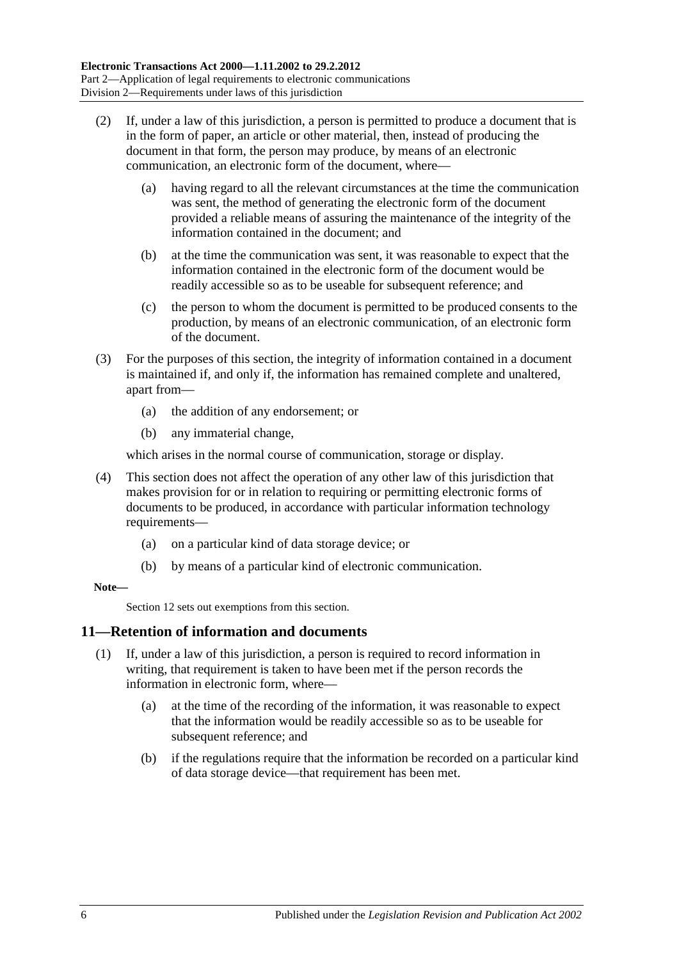- (2) If, under a law of this jurisdiction, a person is permitted to produce a document that is in the form of paper, an article or other material, then, instead of producing the document in that form, the person may produce, by means of an electronic communication, an electronic form of the document, where—
	- (a) having regard to all the relevant circumstances at the time the communication was sent, the method of generating the electronic form of the document provided a reliable means of assuring the maintenance of the integrity of the information contained in the document; and
	- (b) at the time the communication was sent, it was reasonable to expect that the information contained in the electronic form of the document would be readily accessible so as to be useable for subsequent reference; and
	- (c) the person to whom the document is permitted to be produced consents to the production, by means of an electronic communication, of an electronic form of the document.
- (3) For the purposes of this section, the integrity of information contained in a document is maintained if, and only if, the information has remained complete and unaltered, apart from—
	- (a) the addition of any endorsement; or
	- (b) any immaterial change,

which arises in the normal course of communication, storage or display.

- (4) This section does not affect the operation of any other law of this jurisdiction that makes provision for or in relation to requiring or permitting electronic forms of documents to be produced, in accordance with particular information technology requirements—
	- (a) on a particular kind of data storage device; or
	- (b) by means of a particular kind of electronic communication.

#### **Note—**

[Section](#page-7-0) 12 sets out exemptions from this section.

#### <span id="page-5-0"></span>**11—Retention of information and documents**

- (1) If, under a law of this jurisdiction, a person is required to record information in writing, that requirement is taken to have been met if the person records the information in electronic form, where—
	- (a) at the time of the recording of the information, it was reasonable to expect that the information would be readily accessible so as to be useable for subsequent reference; and
	- (b) if the regulations require that the information be recorded on a particular kind of data storage device—that requirement has been met.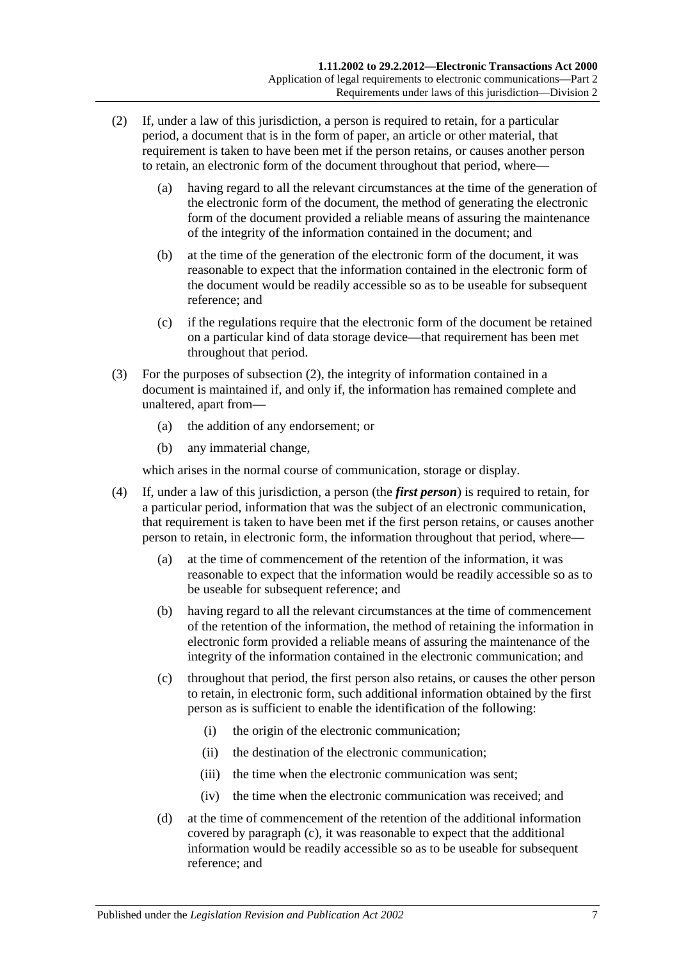- <span id="page-6-0"></span>(2) If, under a law of this jurisdiction, a person is required to retain, for a particular period, a document that is in the form of paper, an article or other material, that requirement is taken to have been met if the person retains, or causes another person to retain, an electronic form of the document throughout that period, where—
	- (a) having regard to all the relevant circumstances at the time of the generation of the electronic form of the document, the method of generating the electronic form of the document provided a reliable means of assuring the maintenance of the integrity of the information contained in the document; and
	- (b) at the time of the generation of the electronic form of the document, it was reasonable to expect that the information contained in the electronic form of the document would be readily accessible so as to be useable for subsequent reference; and
	- (c) if the regulations require that the electronic form of the document be retained on a particular kind of data storage device—that requirement has been met throughout that period.
- (3) For the purposes of [subsection](#page-6-0) (2), the integrity of information contained in a document is maintained if, and only if, the information has remained complete and unaltered, apart from—
	- (a) the addition of any endorsement; or
	- (b) any immaterial change,

which arises in the normal course of communication, storage or display.

- <span id="page-6-2"></span><span id="page-6-1"></span>(4) If, under a law of this jurisdiction, a person (the *first person*) is required to retain, for a particular period, information that was the subject of an electronic communication, that requirement is taken to have been met if the first person retains, or causes another person to retain, in electronic form, the information throughout that period, where—
	- (a) at the time of commencement of the retention of the information, it was reasonable to expect that the information would be readily accessible so as to be useable for subsequent reference; and
	- (b) having regard to all the relevant circumstances at the time of commencement of the retention of the information, the method of retaining the information in electronic form provided a reliable means of assuring the maintenance of the integrity of the information contained in the electronic communication; and
	- (c) throughout that period, the first person also retains, or causes the other person to retain, in electronic form, such additional information obtained by the first person as is sufficient to enable the identification of the following:
		- (i) the origin of the electronic communication;
		- (ii) the destination of the electronic communication;
		- (iii) the time when the electronic communication was sent;
		- (iv) the time when the electronic communication was received; and
	- (d) at the time of commencement of the retention of the additional information covered by [paragraph](#page-6-1) (c), it was reasonable to expect that the additional information would be readily accessible so as to be useable for subsequent reference; and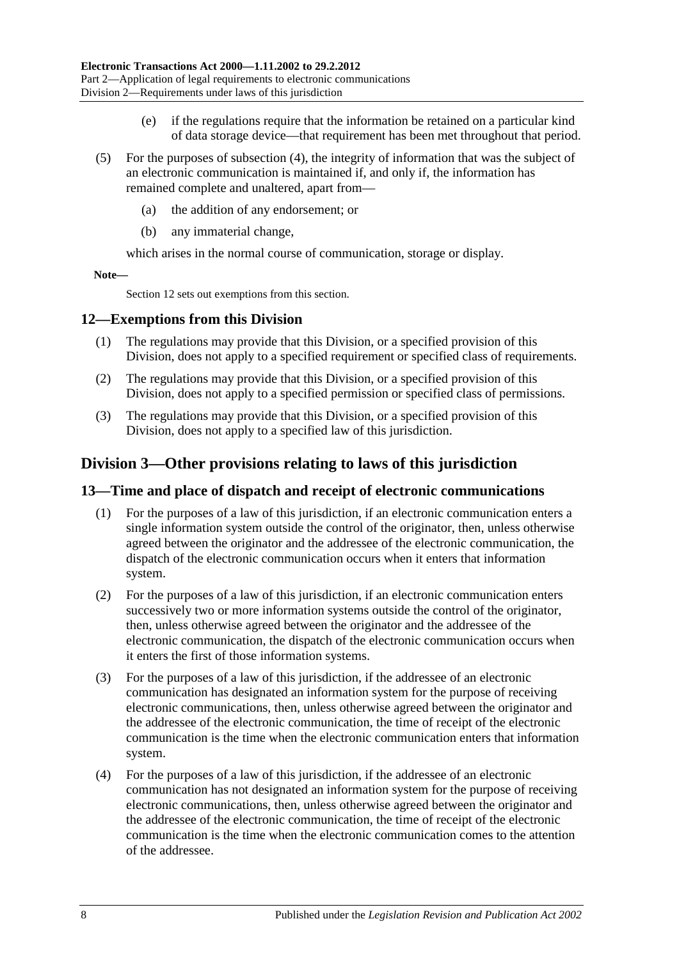- (e) if the regulations require that the information be retained on a particular kind of data storage device—that requirement has been met throughout that period.
- (5) For the purposes of [subsection](#page-6-2) (4), the integrity of information that was the subject of an electronic communication is maintained if, and only if, the information has remained complete and unaltered, apart from—
	- (a) the addition of any endorsement; or
	- (b) any immaterial change,

which arises in the normal course of communication, storage or display.

**Note—**

[Section](#page-7-0) 12 sets out exemptions from this section.

#### <span id="page-7-0"></span>**12—Exemptions from this Division**

- (1) The regulations may provide that this Division, or a specified provision of this Division, does not apply to a specified requirement or specified class of requirements.
- (2) The regulations may provide that this Division, or a specified provision of this Division, does not apply to a specified permission or specified class of permissions.
- (3) The regulations may provide that this Division, or a specified provision of this Division, does not apply to a specified law of this jurisdiction.

## <span id="page-7-1"></span>**Division 3—Other provisions relating to laws of this jurisdiction**

### <span id="page-7-2"></span>**13—Time and place of dispatch and receipt of electronic communications**

- (1) For the purposes of a law of this jurisdiction, if an electronic communication enters a single information system outside the control of the originator, then, unless otherwise agreed between the originator and the addressee of the electronic communication, the dispatch of the electronic communication occurs when it enters that information system.
- (2) For the purposes of a law of this jurisdiction, if an electronic communication enters successively two or more information systems outside the control of the originator, then, unless otherwise agreed between the originator and the addressee of the electronic communication, the dispatch of the electronic communication occurs when it enters the first of those information systems.
- (3) For the purposes of a law of this jurisdiction, if the addressee of an electronic communication has designated an information system for the purpose of receiving electronic communications, then, unless otherwise agreed between the originator and the addressee of the electronic communication, the time of receipt of the electronic communication is the time when the electronic communication enters that information system.
- (4) For the purposes of a law of this jurisdiction, if the addressee of an electronic communication has not designated an information system for the purpose of receiving electronic communications, then, unless otherwise agreed between the originator and the addressee of the electronic communication, the time of receipt of the electronic communication is the time when the electronic communication comes to the attention of the addressee.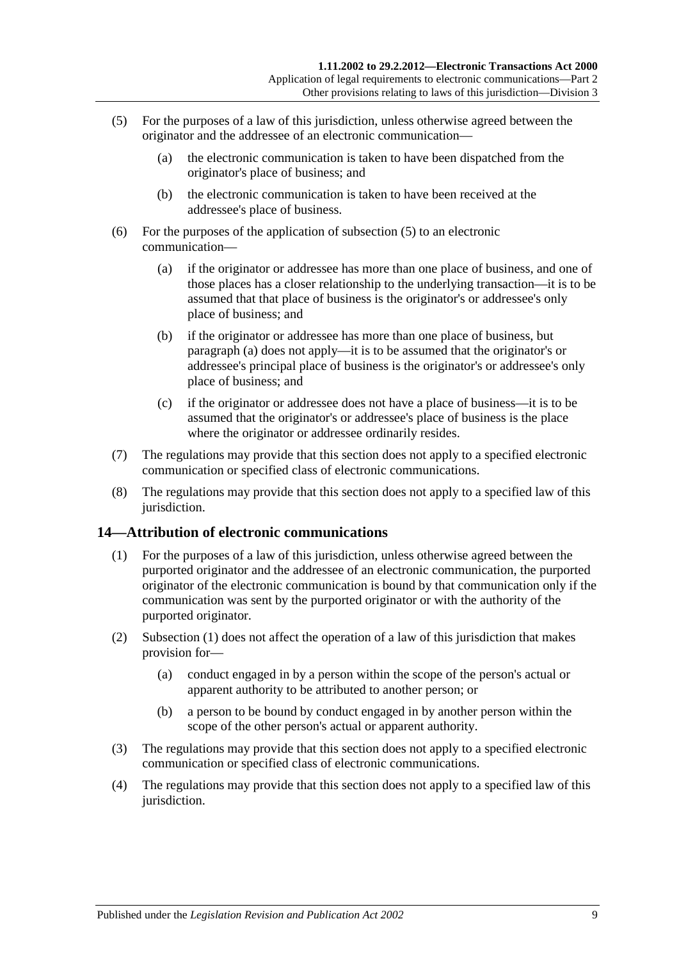- <span id="page-8-1"></span>(5) For the purposes of a law of this jurisdiction, unless otherwise agreed between the originator and the addressee of an electronic communication—
	- (a) the electronic communication is taken to have been dispatched from the originator's place of business; and
	- (b) the electronic communication is taken to have been received at the addressee's place of business.
- <span id="page-8-2"></span>(6) For the purposes of the application of [subsection](#page-8-1) (5) to an electronic communication—
	- (a) if the originator or addressee has more than one place of business, and one of those places has a closer relationship to the underlying transaction—it is to be assumed that that place of business is the originator's or addressee's only place of business; and
	- (b) if the originator or addressee has more than one place of business, but [paragraph](#page-8-2) (a) does not apply—it is to be assumed that the originator's or addressee's principal place of business is the originator's or addressee's only place of business; and
	- (c) if the originator or addressee does not have a place of business—it is to be assumed that the originator's or addressee's place of business is the place where the originator or addressee ordinarily resides.
- (7) The regulations may provide that this section does not apply to a specified electronic communication or specified class of electronic communications.
- (8) The regulations may provide that this section does not apply to a specified law of this jurisdiction.

### <span id="page-8-3"></span><span id="page-8-0"></span>**14—Attribution of electronic communications**

- (1) For the purposes of a law of this jurisdiction, unless otherwise agreed between the purported originator and the addressee of an electronic communication, the purported originator of the electronic communication is bound by that communication only if the communication was sent by the purported originator or with the authority of the purported originator.
- (2) [Subsection](#page-8-3) (1) does not affect the operation of a law of this jurisdiction that makes provision for—
	- (a) conduct engaged in by a person within the scope of the person's actual or apparent authority to be attributed to another person; or
	- (b) a person to be bound by conduct engaged in by another person within the scope of the other person's actual or apparent authority.
- (3) The regulations may provide that this section does not apply to a specified electronic communication or specified class of electronic communications.
- (4) The regulations may provide that this section does not apply to a specified law of this jurisdiction.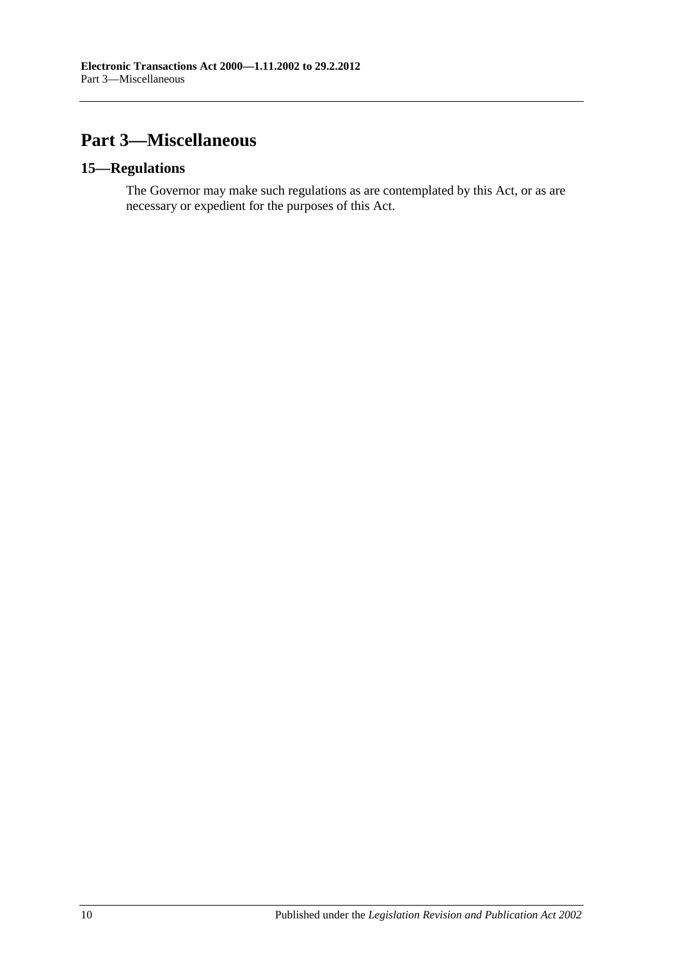## <span id="page-9-0"></span>**Part 3—Miscellaneous**

### <span id="page-9-1"></span>**15—Regulations**

The Governor may make such regulations as are contemplated by this Act, or as are necessary or expedient for the purposes of this Act.